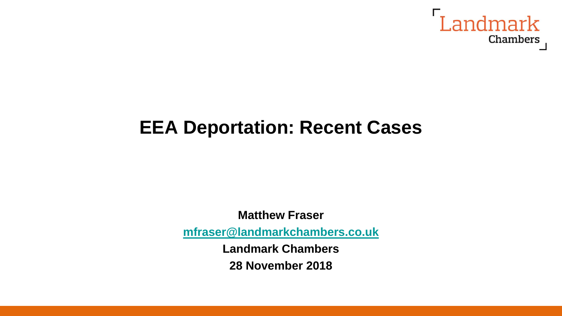

# **EEA Deportation: Recent Cases**

**Matthew Fraser**

**[mfraser@landmarkchambers.co.uk](mailto:mfraser@landmarkchambers.co.uk)**

**Landmark Chambers**

**28 November 2018**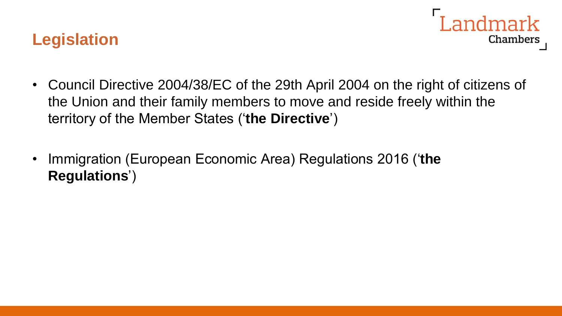### **Legislation**



- Council Directive 2004/38/EC of the 29th April 2004 on the right of citizens of the Union and their family members to move and reside freely within the territory of the Member States ('**the Directive**')
- Immigration (European Economic Area) Regulations 2016 ('**the Regulations**')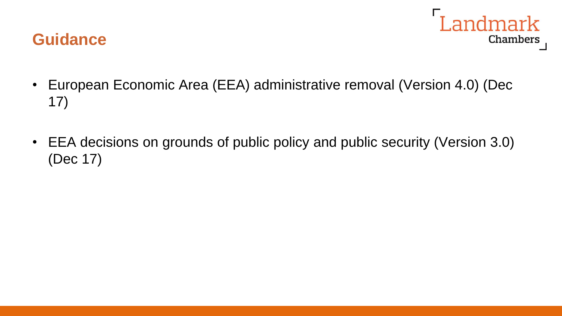



- European Economic Area (EEA) administrative removal (Version 4.0) (Dec 17)
- EEA decisions on grounds of public policy and public security (Version 3.0) (Dec 17)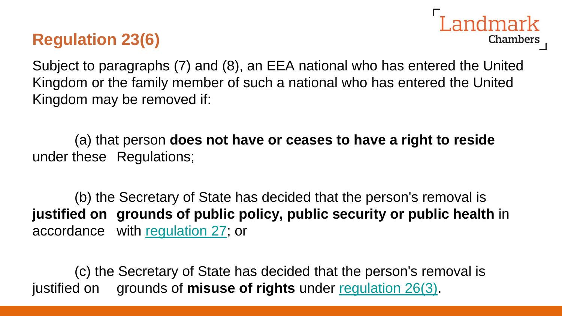### **Regulation 23(6)**

Landmark Chambers

Subject to paragraphs (7) and (8), an EEA national who has entered the United Kingdom or the family member of such a national who has entered the United Kingdom may be removed if:

(a) that person **does not have or ceases to have a right to reside** under these Regulations;

(b) the Secretary of State has decided that the person's removal is **justified on grounds of public policy, public security or public health** in accordance with [regulation 27;](https://login.westlaw.co.uk/maf/wluk/app/document?src=doc&linktype=ref&context=16&crumb-action=replace&docguid=I3B718F80A24511E6A64592BB76C7EECB) or

(c) the Secretary of State has decided that the person's removal is justified on grounds of **misuse of rights** under [regulation 26\(3\).](https://login.westlaw.co.uk/maf/wluk/app/document?src=doc&linktype=ref&context=16&crumb-action=replace&docguid=I14AF3A50A24511E6A64592BB76C7EECB)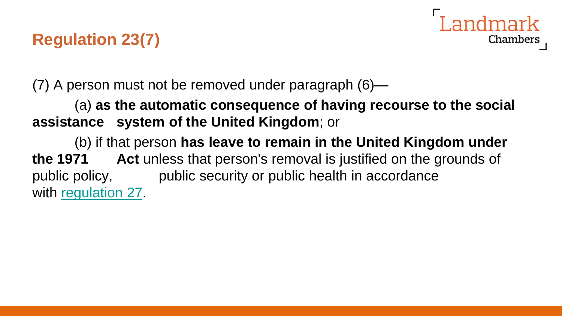# **Regulation 23(7)**



(7) A person must not be removed under paragraph (6)—

(a) **as the automatic consequence of having recourse to the social assistance system of the United Kingdom**; or

(b) if that person **has leave to remain in the United Kingdom under the 1971 Act** unless that person's removal is justified on the grounds of public policy, public security or public health in accordance with [regulation 27.](https://login.westlaw.co.uk/maf/wluk/app/document?src=doc&linktype=ref&context=16&crumb-action=replace&docguid=I3B718F80A24511E6A64592BB76C7EECB)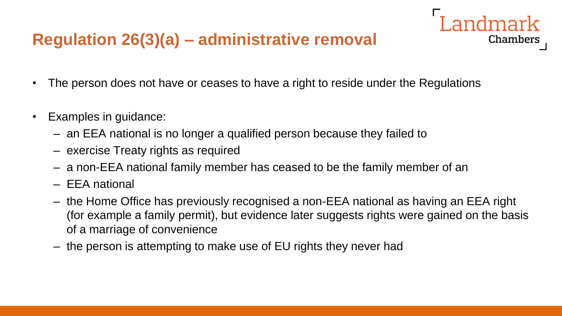# **Regulation 26(3)(a) – administrative removal**

- The person does not have or ceases to have a right to reside under the Regulations
- Examples in guidance:
	- an EEA national is no longer a qualified person because they failed to
	- exercise Treaty rights as required
	- a non-EEA national family member has ceased to be the family member of an
	- EEA national
	- the Home Office has previously recognised a non-EEA national as having an EEA right (for example a family permit), but evidence later suggests rights were gained on the basis of a marriage of convenience

I andmark

**Chambers** 

– the person is attempting to make use of EU rights they never had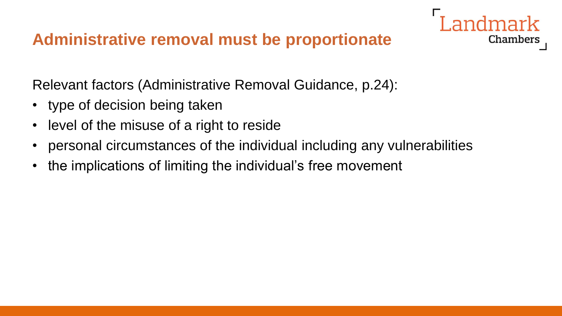### **Administrative removal must be proportionate**

Relevant factors (Administrative Removal Guidance, p.24):

- type of decision being taken
- level of the misuse of a right to reside
- personal circumstances of the individual including any vulnerabilities

Chambers

• the implications of limiting the individual's free movement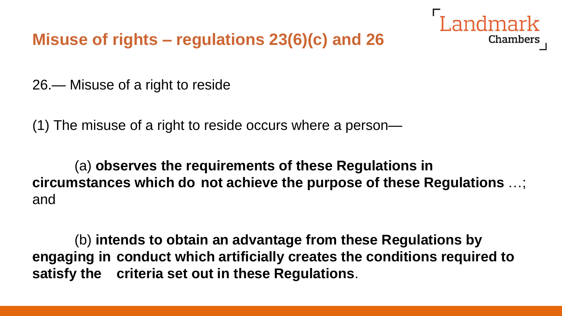



26.— Misuse of a right to reside

(1) The misuse of a right to reside occurs where a person—

(a) **observes the requirements of these Regulations in circumstances which do not achieve the purpose of these Regulations** …; and

(b) **intends to obtain an advantage from these Regulations by engaging in conduct which artificially creates the conditions required to satisfy the criteria set out in these Regulations**.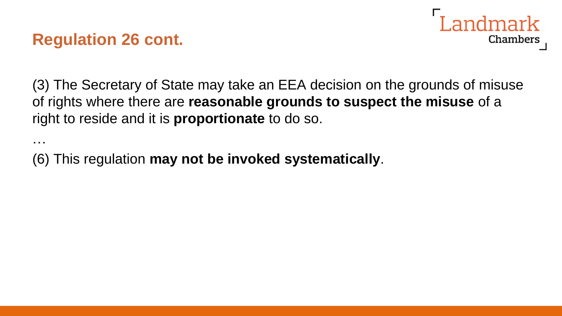### **Regulation 26 cont.**

…



(3) The Secretary of State may take an EEA decision on the grounds of misuse of rights where there are **reasonable grounds to suspect the misuse** of a right to reside and it is **proportionate** to do so.

(6) This regulation **may not be invoked systematically**.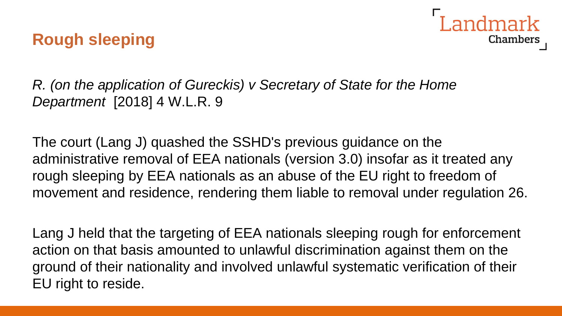### **Rough sleeping**



#### *R. (on the application of Gureckis) v Secretary of State for the Home Department* [2018] 4 W.L.R. 9

The court (Lang J) quashed the SSHD's previous guidance on the administrative removal of EEA nationals (version 3.0) insofar as it treated any rough sleeping by EEA nationals as an abuse of the EU right to freedom of movement and residence, rendering them liable to removal under regulation 26.

Lang J held that the targeting of EEA nationals sleeping rough for enforcement action on that basis amounted to unlawful discrimination against them on the ground of their nationality and involved unlawful systematic verification of their EU right to reside.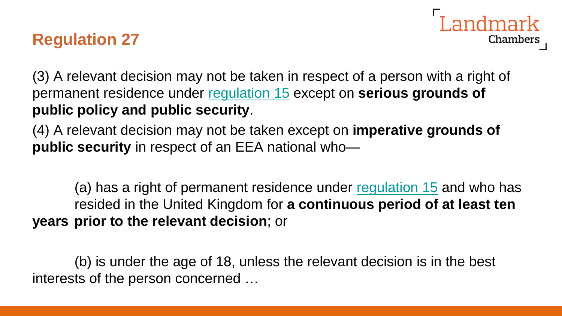### **Regulation 27**

Landmark Chambers

(3) A relevant decision may not be taken in respect of a person with a right of permanent residence under [regulation 15](https://login.westlaw.co.uk/maf/wluk/app/document?src=doc&linktype=ref&context=20&crumb-action=replace&docguid=IB956D410A24411E6A64592BB76C7EECB) except on **serious grounds of public policy and public security**.

(4) A relevant decision may not be taken except on **imperative grounds of public security** in respect of an EEA national who—

(a) has a right of permanent residence under [regulation 15](https://login.westlaw.co.uk/maf/wluk/app/document?src=doc&linktype=ref&context=20&crumb-action=replace&docguid=IB956D410A24411E6A64592BB76C7EECB) and who has resided in the United Kingdom for **a continuous period of at least ten years prior to the relevant decision**; or

(b) is under the age of 18, unless the relevant decision is in the best interests of the person concerned …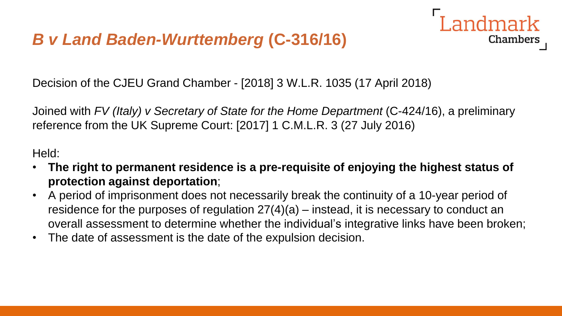# *B v Land Baden-Wurttemberg* **(C-316/16)**



Decision of the CJEU Grand Chamber - [2018] 3 W.L.R. 1035 (17 April 2018)

Joined with *FV (Italy) v Secretary of State for the Home Department* (C-424/16), a preliminary reference from the UK Supreme Court: [2017] 1 C.M.L.R. 3 (27 July 2016)

#### Held:

- **The right to permanent residence is a pre-requisite of enjoying the highest status of protection against deportation**;
- A period of imprisonment does not necessarily break the continuity of a 10-year period of residence for the purposes of regulation 27(4)(a) – instead, it is necessary to conduct an overall assessment to determine whether the individual's integrative links have been broken;
- The date of assessment is the date of the expulsion decision.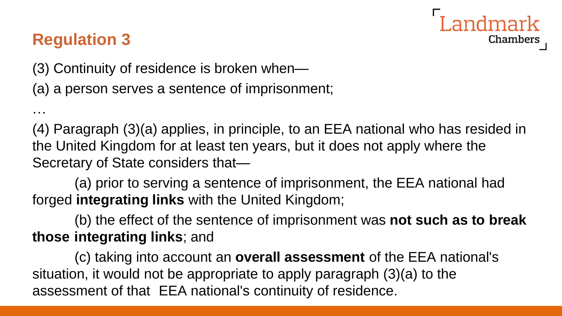# andmark Chambers

### **Regulation 3**

…

(3) Continuity of residence is broken when—

(a) a person serves a sentence of imprisonment;

(4) Paragraph (3)(a) applies, in principle, to an EEA national who has resided in the United Kingdom for at least ten years, but it does not apply where the Secretary of State considers that—

(a) prior to serving a sentence of imprisonment, the EEA national had forged **integrating links** with the United Kingdom;

(b) the effect of the sentence of imprisonment was **not such as to break those integrating links**; and

(c) taking into account an **overall assessment** of the EEA national's situation, it would not be appropriate to apply paragraph (3)(a) to the assessment of that EEA national's continuity of residence.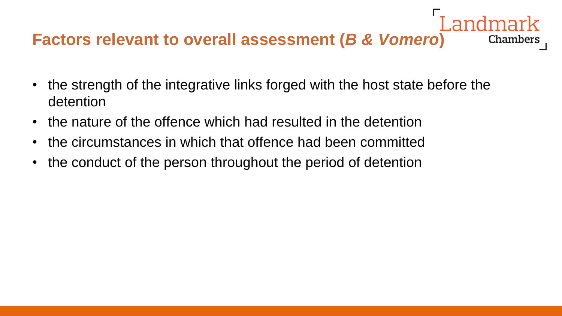# **Factors relevant to overall assessment (***B & Vomero***)**

**Chambers** 

- the strength of the integrative links forged with the host state before the detention
- the nature of the offence which had resulted in the detention
- the circumstances in which that offence had been committed
- the conduct of the person throughout the period of detention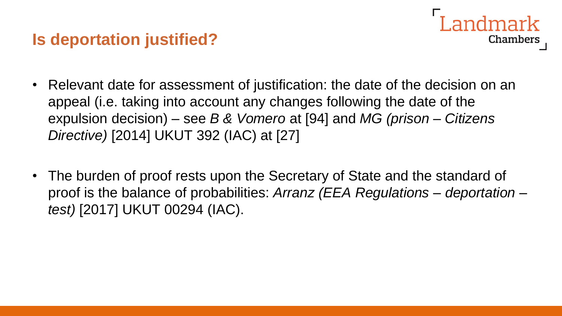### **Is deportation justified?**



- Relevant date for assessment of justification: the date of the decision on an appeal (i.e. taking into account any changes following the date of the expulsion decision) – see *B & Vomero* at [94] and *MG (prison – Citizens Directive)* [2014] UKUT 392 (IAC) at [27]
- The burden of proof rests upon the Secretary of State and the standard of proof is the balance of probabilities: *Arranz (EEA Regulations – deportation – test)* [2017] UKUT 00294 (IAC).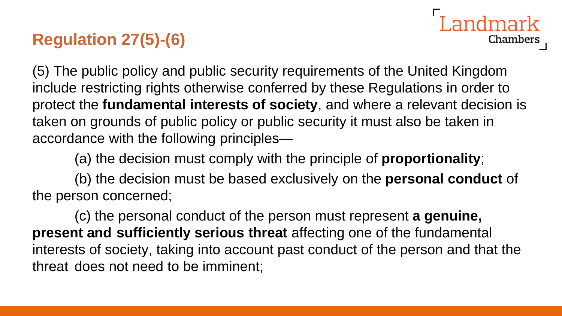# **Regulation 27(5)-(6)**

Landmark **Chambers** 

(5) The public policy and public security requirements of the United Kingdom include restricting rights otherwise conferred by these Regulations in order to protect the **fundamental interests of society**, and where a relevant decision is taken on grounds of public policy or public security it must also be taken in accordance with the following principles—

(a) the decision must comply with the principle of **proportionality**;

(b) the decision must be based exclusively on the **personal conduct** of the person concerned;

(c) the personal conduct of the person must represent **a genuine, present and sufficiently serious threat** affecting one of the fundamental interests of society, taking into account past conduct of the person and that the threat does not need to be imminent;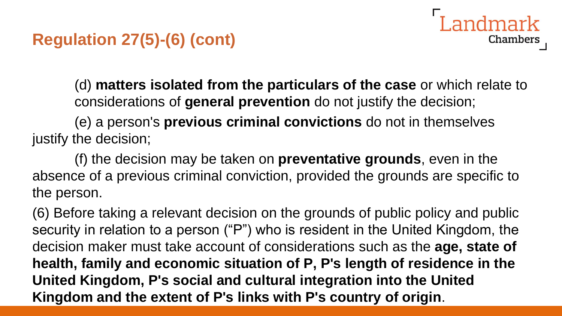# **Regulation 27(5)-(6) (cont)**

Landmark **Chambers** 

(d) **matters isolated from the particulars of the case** or which relate to considerations of **general prevention** do not justify the decision;

(e) a person's **previous criminal convictions** do not in themselves justify the decision;

(f) the decision may be taken on **preventative grounds**, even in the absence of a previous criminal conviction, provided the grounds are specific to the person.

(6) Before taking a relevant decision on the grounds of public policy and public security in relation to a person ("P") who is resident in the United Kingdom, the decision maker must take account of considerations such as the **age, state of health, family and economic situation of P, P's length of residence in the United Kingdom, P's social and cultural integration into the United Kingdom and the extent of P's links with P's country of origin**.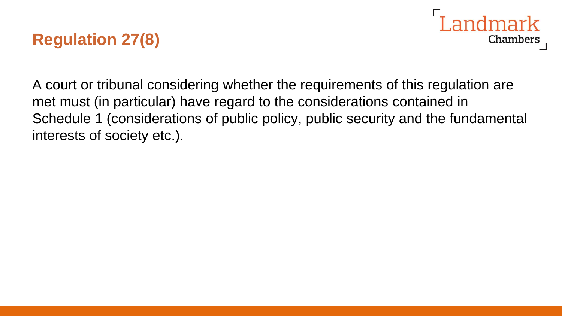### **Regulation 27(8)**



A court or tribunal considering whether the requirements of this regulation are met must (in particular) have regard to the considerations contained in Schedule 1 (considerations of public policy, public security and the fundamental interests of society etc.).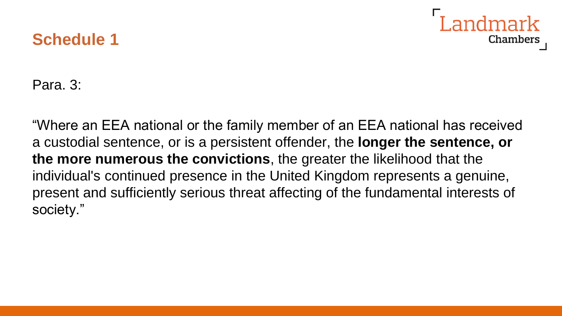### **Schedule 1**



Para. 3:

"Where an EEA national or the family member of an EEA national has received a custodial sentence, or is a persistent offender, the **longer the sentence, or the more numerous the convictions**, the greater the likelihood that the individual's continued presence in the United Kingdom represents a genuine, present and sufficiently serious threat affecting of the fundamental interests of society."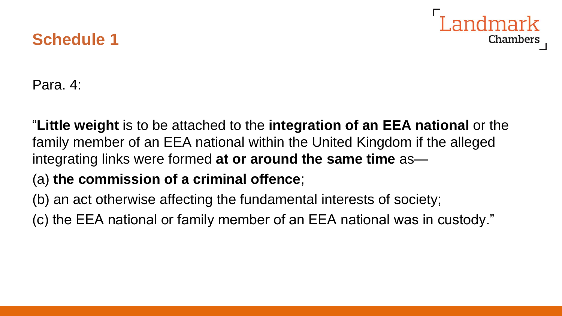# **Chambers**

### **Schedule 1**

Para. 4:

"**Little weight** is to be attached to the **integration of an EEA national** or the family member of an EEA national within the United Kingdom if the alleged integrating links were formed **at or around the same time** as—

### (a) **the commission of a criminal offence**;

(b) an act otherwise affecting the fundamental interests of society;

(c) the EEA national or family member of an EEA national was in custody."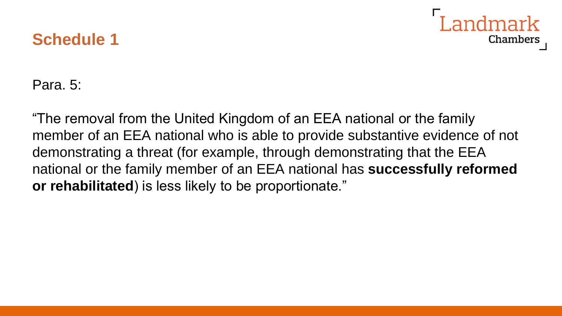### **Schedule 1**



Para. 5:

"The removal from the United Kingdom of an EEA national or the family member of an EEA national who is able to provide substantive evidence of not demonstrating a threat (for example, through demonstrating that the EEA national or the family member of an EEA national has **successfully reformed or rehabilitated**) is less likely to be proportionate."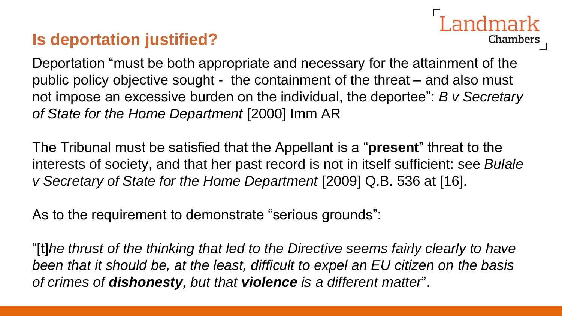### **Is deportation justified?**

Landmark Chambers

Deportation "must be both appropriate and necessary for the attainment of the public policy objective sought - the containment of the threat – and also must not impose an excessive burden on the individual, the deportee": *B v Secretary of State for the Home Department* [2000] Imm AR

The Tribunal must be satisfied that the Appellant is a "**present**" threat to the interests of society, and that her past record is not in itself sufficient: see *Bulale v Secretary of State for the Home Department* [2009] Q.B. 536 at [16].

As to the requirement to demonstrate "serious grounds":

"[t]*he thrust of the thinking that led to the Directive seems fairly clearly to have been that it should be, at the least, difficult to expel an EU citizen on the basis of crimes of dishonesty, but that violence is a different matter*".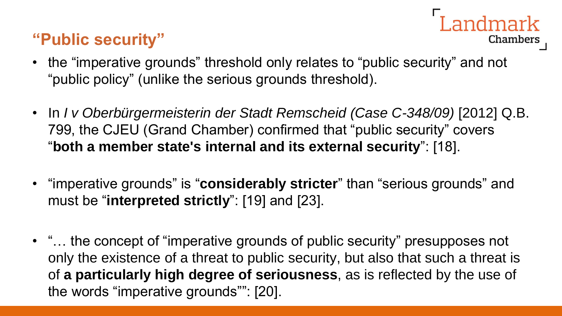### **"Public security"**

- Landmark Chambers
- the "imperative grounds" threshold only relates to "public security" and not "public policy" (unlike the serious grounds threshold).
- In *I v Oberbürgermeisterin der Stadt Remscheid (Case C-348/09)* [2012] Q.B. 799, the CJEU (Grand Chamber) confirmed that "public security" covers "**both a member state's internal and its external security**": [18].
- "imperative grounds" is "**considerably stricter**" than "serious grounds" and must be "**interpreted strictly**": [19] and [23].
- "... the concept of "imperative grounds of public security" presupposes not only the existence of a threat to public security, but also that such a threat is of **a particularly high degree of seriousness**, as is reflected by the use of the words "imperative grounds"": [20].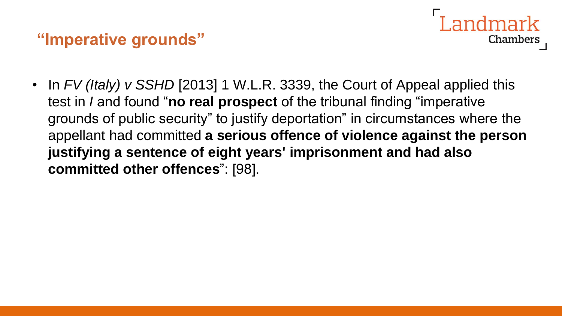### **"Imperative grounds"**



• In FV (Italy) v SSHD [2013] 1 W.L.R. 3339, the Court of Appeal applied this test in *I* and found "**no real prospect** of the tribunal finding "imperative grounds of public security" to justify deportation" in circumstances where the appellant had committed **a serious offence of violence against the person justifying a sentence of eight years' imprisonment and had also committed other offences**": [98].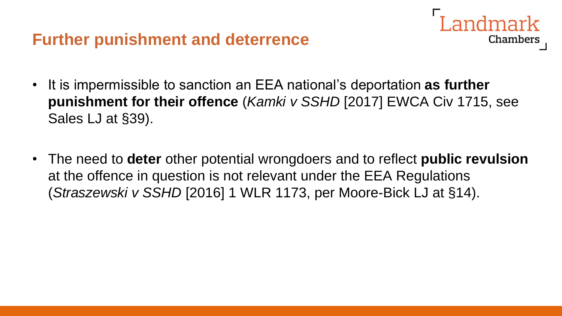### **Further punishment and deterrence**

• It is impermissible to sanction an EEA national's deportation **as further punishment for their offence** (*Kamki v SSHD* [2017] EWCA Civ 1715, see Sales LJ at §39).

**Chambers** 

• The need to **deter** other potential wrongdoers and to reflect **public revulsion**  at the offence in question is not relevant under the EEA Regulations (*Straszewski v SSHD* [2016] 1 WLR 1173, per Moore-Bick LJ at §14).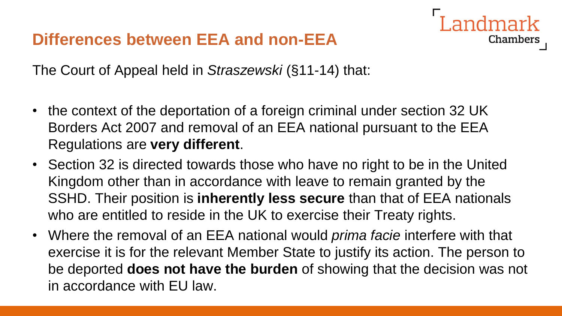### **Differences between EEA and non-EEA**



The Court of Appeal held in *Straszewski* (§11-14) that:

- the context of the deportation of a foreign criminal under section 32 UK Borders Act 2007 and removal of an EEA national pursuant to the EEA Regulations are **very different**.
- Section 32 is directed towards those who have no right to be in the United Kingdom other than in accordance with leave to remain granted by the SSHD. Their position is **inherently less secure** than that of EEA nationals who are entitled to reside in the UK to exercise their Treaty rights.
- Where the removal of an EEA national would *prima facie* interfere with that exercise it is for the relevant Member State to justify its action. The person to be deported **does not have the burden** of showing that the decision was not in accordance with EU law.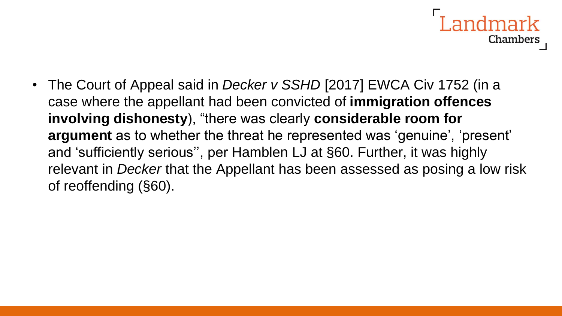# **Chambers**

• The Court of Appeal said in *Decker v SSHD* [2017] EWCA Civ 1752 (in a case where the appellant had been convicted of **immigration offences involving dishonesty**), "there was clearly **considerable room for argument** as to whether the threat he represented was 'genuine', 'present' and 'sufficiently serious'', per Hamblen LJ at §60. Further, it was highly relevant in *Decker* that the Appellant has been assessed as posing a low risk of reoffending (§60).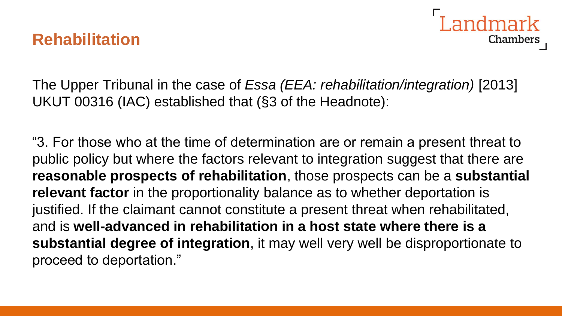### **Rehabilitation**



The Upper Tribunal in the case of *Essa (EEA: rehabilitation/integration)* [2013] UKUT 00316 (IAC) established that (§3 of the Headnote):

"3. For those who at the time of determination are or remain a present threat to public policy but where the factors relevant to integration suggest that there are **reasonable prospects of rehabilitation**, those prospects can be a **substantial relevant factor** in the proportionality balance as to whether deportation is justified. If the claimant cannot constitute a present threat when rehabilitated, and is **well-advanced in rehabilitation in a host state where there is a substantial degree of integration**, it may well very well be disproportionate to proceed to deportation."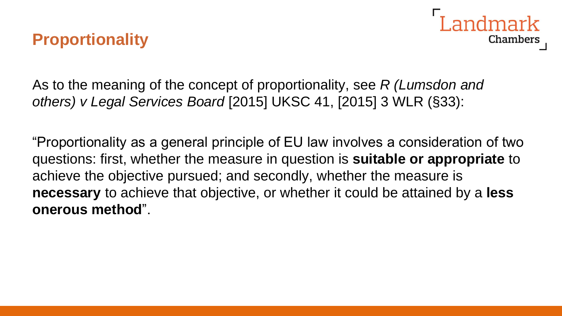### **Proportionality**



As to the meaning of the concept of proportionality, see *R (Lumsdon and others) v Legal Services Board* [2015] UKSC 41, [2015] 3 WLR (§33):

"Proportionality as a general principle of EU law involves a consideration of two questions: first, whether the measure in question is **suitable or appropriate** to achieve the objective pursued; and secondly, whether the measure is **necessary** to achieve that objective, or whether it could be attained by a **less onerous method**".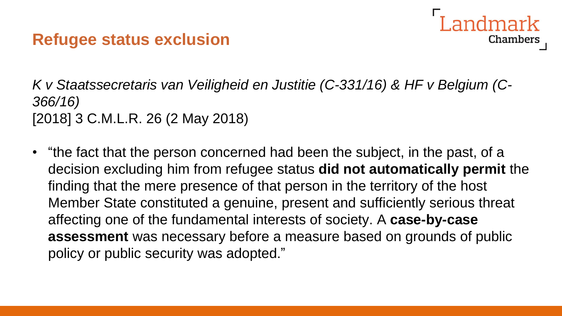### **Refugee status exclusion**



*K v Staatssecretaris van Veiligheid en Justitie (C-331/16) & HF v Belgium (C-366/16)* [2018] 3 C.M.L.R. 26 (2 May 2018)

• "the fact that the person concerned had been the subject, in the past, of a decision excluding him from refugee status **did not automatically permit** the finding that the mere presence of that person in the territory of the host Member State constituted a genuine, present and sufficiently serious threat affecting one of the fundamental interests of society. A **case-by-case assessment** was necessary before a measure based on grounds of public policy or public security was adopted."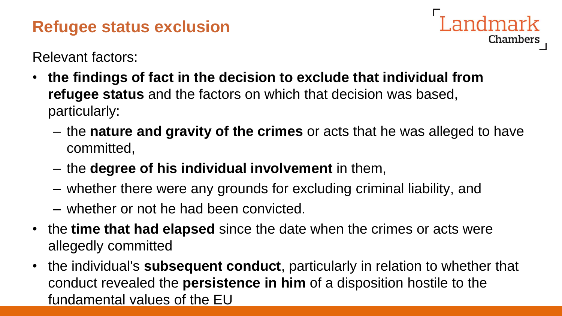### **Refugee status exclusion**

**Landmark Chambers** 

Relevant factors:

- **the findings of fact in the decision to exclude that individual from refugee status** and the factors on which that decision was based, particularly:
	- the **nature and gravity of the crimes** or acts that he was alleged to have committed,
	- the **degree of his individual involvement** in them,
	- whether there were any grounds for excluding criminal liability, and
	- whether or not he had been convicted.
- the **time that had elapsed** since the date when the crimes or acts were allegedly committed
- the individual's **subsequent conduct**, particularly in relation to whether that conduct revealed the **persistence in him** of a disposition hostile to the fundamental values of the EU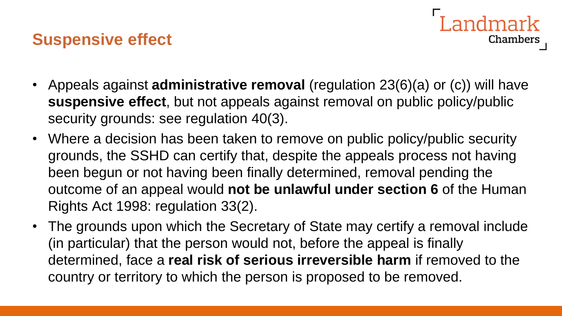### **Suspensive effect**

- andmark **Chambers**
- Appeals against **administrative removal** (regulation 23(6)(a) or (c)) will have **suspensive effect**, but not appeals against removal on public policy/public security grounds: see regulation 40(3).
- Where a decision has been taken to remove on public policy/public security grounds, the SSHD can certify that, despite the appeals process not having been begun or not having been finally determined, removal pending the outcome of an appeal would **not be unlawful under section 6** of the Human Rights Act 1998: regulation 33(2).
- The grounds upon which the Secretary of State may certify a removal include (in particular) that the person would not, before the appeal is finally determined, face a **real risk of serious irreversible harm** if removed to the country or territory to which the person is proposed to be removed.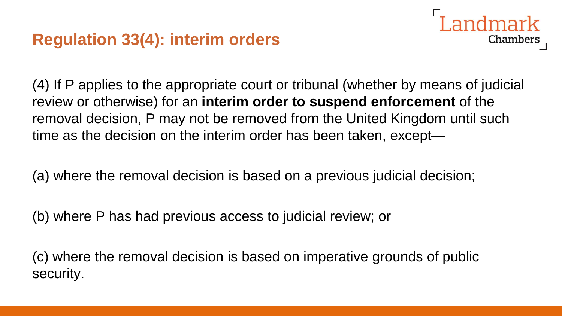

(4) If P applies to the appropriate court or tribunal (whether by means of judicial review or otherwise) for an **interim order to suspend enforcement** of the removal decision, P may not be removed from the United Kingdom until such time as the decision on the interim order has been taken, except—

(a) where the removal decision is based on a previous judicial decision;

(b) where P has had previous access to judicial review; or

(c) where the removal decision is based on imperative grounds of public security.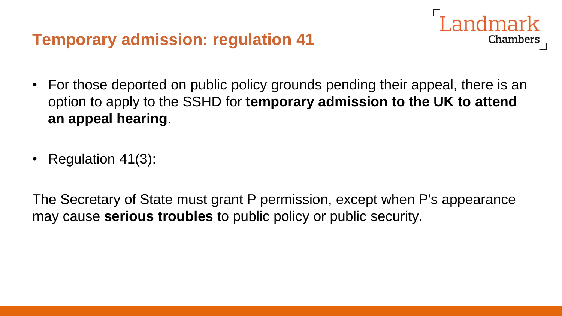### **Temporary admission: regulation 41**

• For those deported on public policy grounds pending their appeal, there is an option to apply to the SSHD for **temporary admission to the UK to attend an appeal hearing**.

I andmark

**Chambers** 

• Regulation 41(3):

The Secretary of State must grant P permission, except when P's appearance may cause **serious troubles** to public policy or public security.